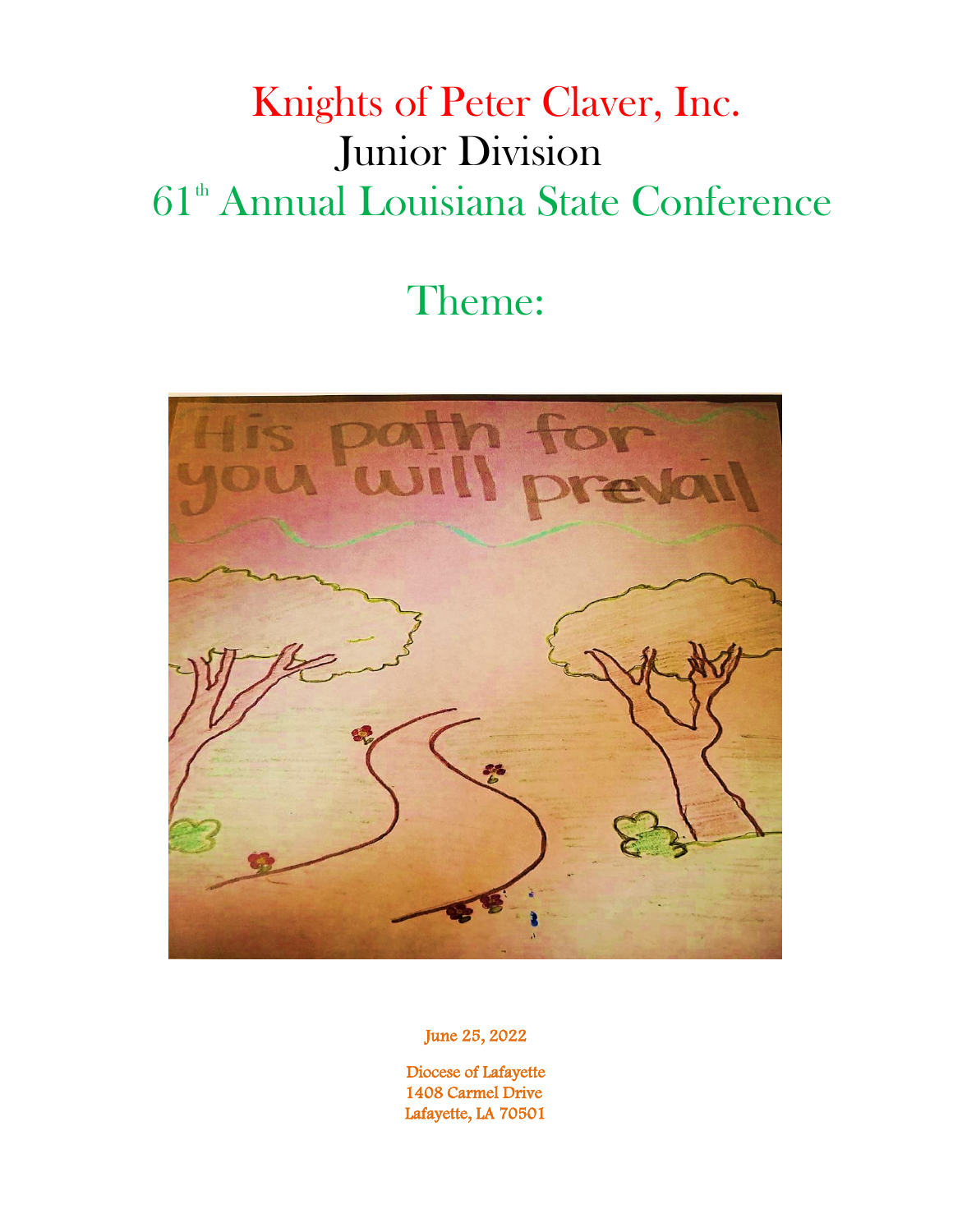# Knights of Peter Claver, Inc. Junior Division 61<sup>th</sup> Annual Louisiana State Conference

# Theme:



June 25, 2022

 Diocese of Lafayette 1408 Carmel Drive Lafayette, LA 70501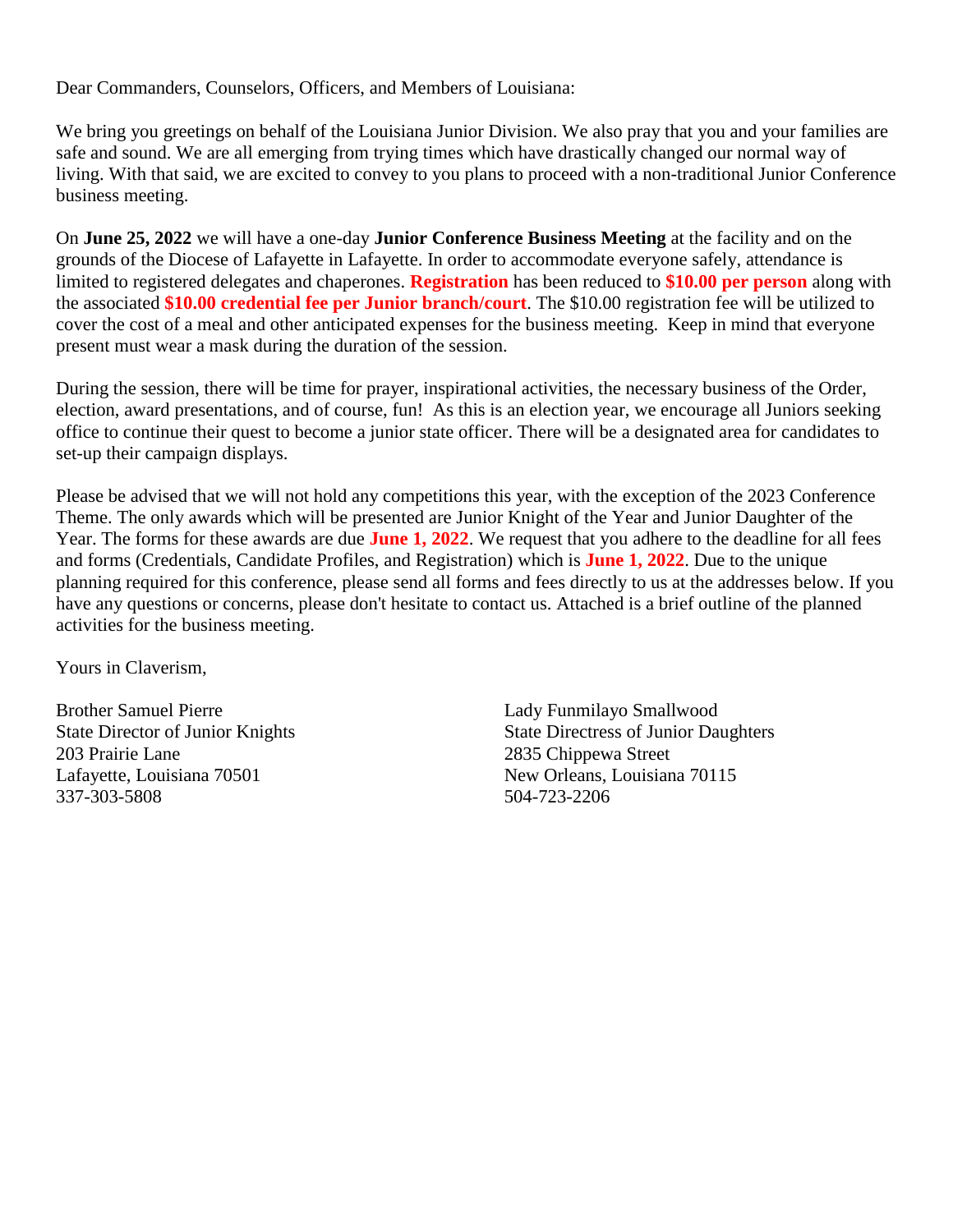Dear Commanders, Counselors, Officers, and Members of Louisiana:

We bring you greetings on behalf of the Louisiana Junior Division. We also pray that you and your families are safe and sound. We are all emerging from trying times which have drastically changed our normal way of living. With that said, we are excited to convey to you plans to proceed with a non-traditional Junior Conference business meeting.

On **June 25, 2022** we will have a one-day **Junior Conference Business Meeting** at the facility and on the grounds of the Diocese of Lafayette in Lafayette. In order to accommodate everyone safely, attendance is limited to registered delegates and chaperones. **Registration** has been reduced to **\$10.00 per person** along with the associated **\$10.00 credential fee per Junior branch/court**. The \$10.00 registration fee will be utilized to cover the cost of a meal and other anticipated expenses for the business meeting. Keep in mind that everyone present must wear a mask during the duration of the session.

During the session, there will be time for prayer, inspirational activities, the necessary business of the Order, election, award presentations, and of course, fun! As this is an election year, we encourage all Juniors seeking office to continue their quest to become a junior state officer. There will be a designated area for candidates to set-up their campaign displays.

Please be advised that we will not hold any competitions this year, with the exception of the 2023 Conference Theme. The only awards which will be presented are Junior Knight of the Year and Junior Daughter of the Year. The forms for these awards are due **June 1, 2022**. We request that you adhere to the deadline for all fees and forms (Credentials, Candidate Profiles, and Registration) which is **June 1, 2022**. Due to the unique planning required for this conference, please send all forms and fees directly to us at the addresses below. If you have any questions or concerns, please don't hesitate to contact us. Attached is a brief outline of the planned activities for the business meeting.

Yours in Claverism,

Brother Samuel Pierre **Lady Funmilayo Smallwood** 203 Prairie Lane 2835 Chippewa Street Lafayette, Louisiana 70501 New Orleans, Louisiana 70115 337-303-5808 504-723-2206

State Director of Junior Knights State Directress of Junior Daughters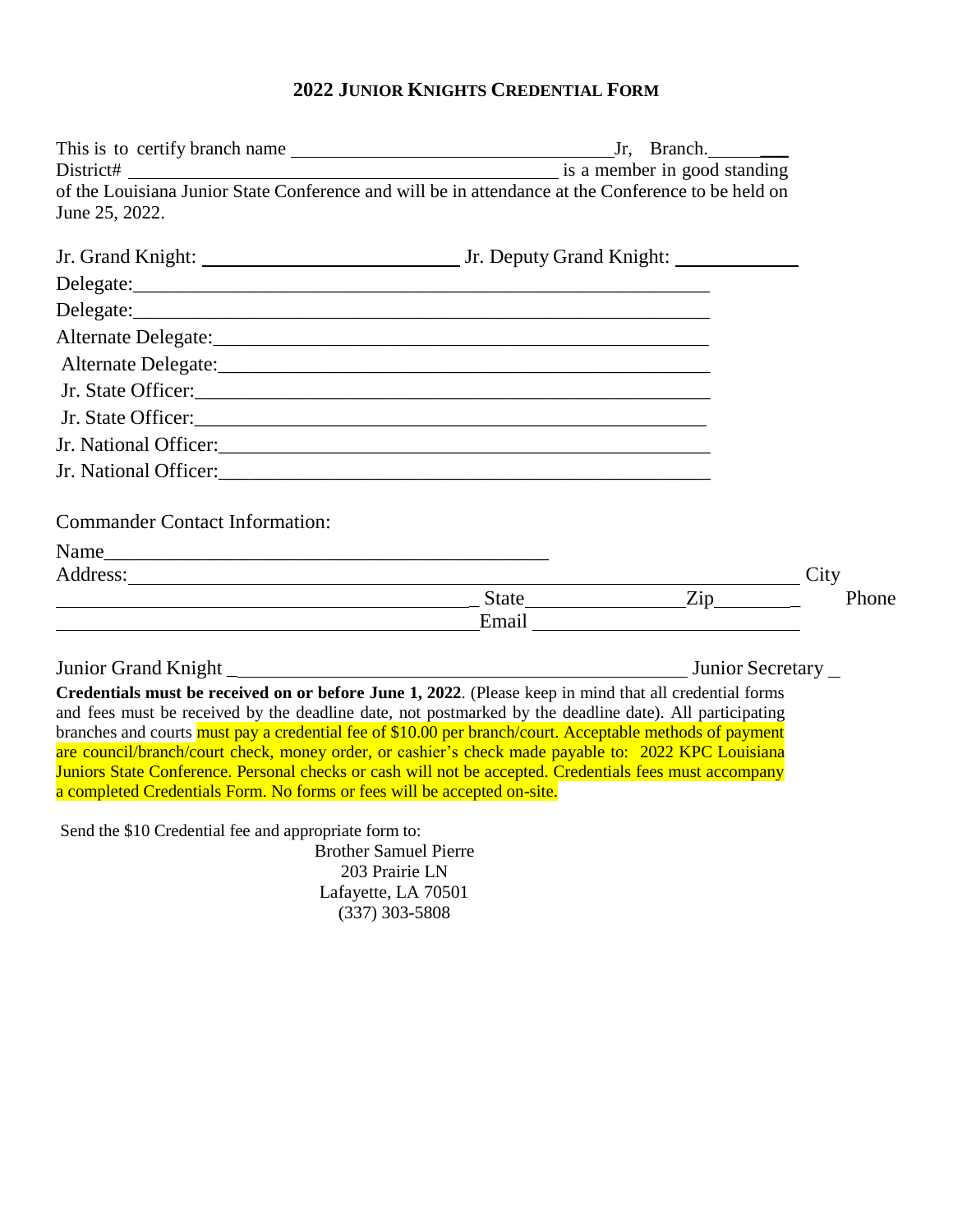### **2022 JUNIOR KNIGHTS CREDENTIAL FORM**

| of the Louisiana Junior State Conference and will be in attendance at the Conference to be held on<br>June 25, 2022.                                                                                                                                                                                                                                                                                                                                                                                                                                                                                                        |  |               |
|-----------------------------------------------------------------------------------------------------------------------------------------------------------------------------------------------------------------------------------------------------------------------------------------------------------------------------------------------------------------------------------------------------------------------------------------------------------------------------------------------------------------------------------------------------------------------------------------------------------------------------|--|---------------|
|                                                                                                                                                                                                                                                                                                                                                                                                                                                                                                                                                                                                                             |  |               |
|                                                                                                                                                                                                                                                                                                                                                                                                                                                                                                                                                                                                                             |  |               |
|                                                                                                                                                                                                                                                                                                                                                                                                                                                                                                                                                                                                                             |  |               |
|                                                                                                                                                                                                                                                                                                                                                                                                                                                                                                                                                                                                                             |  |               |
|                                                                                                                                                                                                                                                                                                                                                                                                                                                                                                                                                                                                                             |  |               |
|                                                                                                                                                                                                                                                                                                                                                                                                                                                                                                                                                                                                                             |  |               |
|                                                                                                                                                                                                                                                                                                                                                                                                                                                                                                                                                                                                                             |  |               |
|                                                                                                                                                                                                                                                                                                                                                                                                                                                                                                                                                                                                                             |  |               |
|                                                                                                                                                                                                                                                                                                                                                                                                                                                                                                                                                                                                                             |  |               |
| <b>Commander Contact Information:</b><br>Address: <u>Address</u> and the contract of the contract of the contract of the contract of the contract of the contract of the contract of the contract of the contract of the contract of the contract of the contract of the con<br><u>Email</u> <b>Executive Email Email</b>                                                                                                                                                                                                                                                                                                   |  | City<br>Phone |
|                                                                                                                                                                                                                                                                                                                                                                                                                                                                                                                                                                                                                             |  |               |
| Credentials must be received on or before June 1, 2022. (Please keep in mind that all credential forms<br>and fees must be received by the deadline date, not postmarked by the deadline date). All participating<br>branches and courts must pay a credential fee of \$10.00 per branch/court. Acceptable methods of payment<br>are council/branch/court check, money order, or cashier's check made payable to: 2022 KPC Louisiana<br>Juniors State Conference. Personal checks or cash will not be accepted. Credentials fees must accompany<br>a completed Credentials Form. No forms or fees will be accepted on-site. |  |               |
| Send the \$10 Credential fee and appropriate form to:<br><b>Brother Samuel Pierre</b><br>203 Prairie LN<br>Lafayette, LA 70501<br>$(337)$ 303-5808                                                                                                                                                                                                                                                                                                                                                                                                                                                                          |  |               |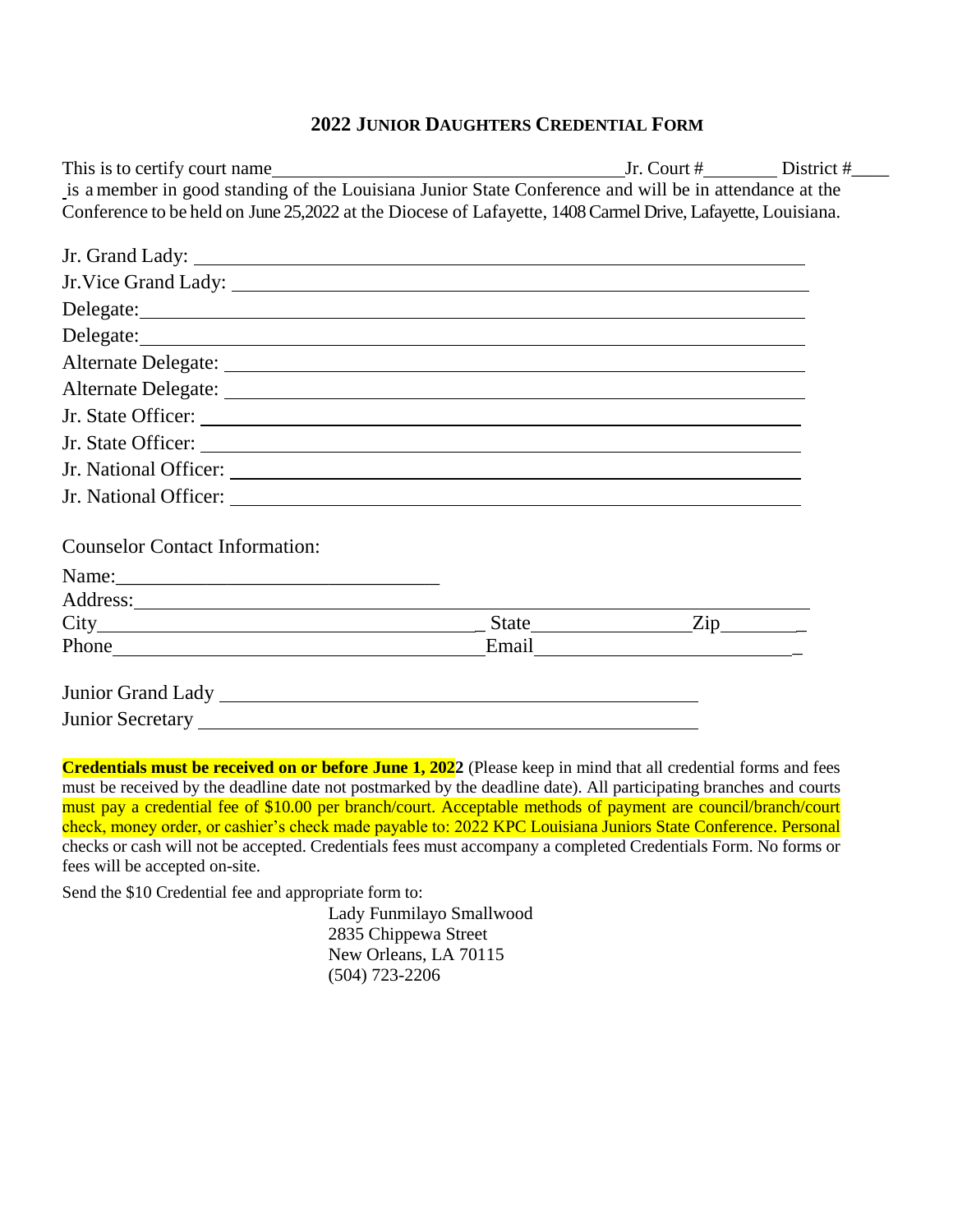### **2022 JUNIOR DAUGHTERS CREDENTIAL FORM**

| This is to certify court name $I_1$ and $I_2$ are $I_3$ are $I_4$ and $I_5$ are $I_5$ are $I_6$ and $I_7$ are $I_8$ are $I_7$ are $I_8$ and $I_7$ are $I_8$ are $I_7$ are $I_8$ are $I_7$ are $I_8$ are $I_7$ are $I_8$ are    |                                  |  |
|--------------------------------------------------------------------------------------------------------------------------------------------------------------------------------------------------------------------------------|----------------------------------|--|
| is a member in good standing of the Louisiana Junior State Conference and will be in attendance at the                                                                                                                         |                                  |  |
| Conference to be held on June 25,2022 at the Diocese of Lafayette, 1408 Carmel Drive, Lafayette, Louisiana.                                                                                                                    |                                  |  |
|                                                                                                                                                                                                                                |                                  |  |
|                                                                                                                                                                                                                                |                                  |  |
|                                                                                                                                                                                                                                |                                  |  |
| Delegate: Note and the set of the set of the set of the set of the set of the set of the set of the set of the set of the set of the set of the set of the set of the set of the set of the set of the set of the set of the s |                                  |  |
| Delegate: Note and the set of the set of the set of the set of the set of the set of the set of the set of the set of the set of the set of the set of the set of the set of the set of the set of the set of the set of the s |                                  |  |
|                                                                                                                                                                                                                                |                                  |  |
|                                                                                                                                                                                                                                |                                  |  |
|                                                                                                                                                                                                                                |                                  |  |
|                                                                                                                                                                                                                                |                                  |  |
|                                                                                                                                                                                                                                |                                  |  |
|                                                                                                                                                                                                                                |                                  |  |
|                                                                                                                                                                                                                                |                                  |  |
| <b>Counselor Contact Information:</b>                                                                                                                                                                                          |                                  |  |
|                                                                                                                                                                                                                                |                                  |  |
|                                                                                                                                                                                                                                |                                  |  |
| $City$ $City$ $Zip$ $Zip$                                                                                                                                                                                                      |                                  |  |
|                                                                                                                                                                                                                                | Email <u>Finance and Service</u> |  |
|                                                                                                                                                                                                                                |                                  |  |
|                                                                                                                                                                                                                                |                                  |  |
|                                                                                                                                                                                                                                |                                  |  |
|                                                                                                                                                                                                                                |                                  |  |
| Cuodentials week he usesived an autofaus Irus 1, 2022 (Diseas Iron in mind that all anodestic) forms and face                                                                                                                  |                                  |  |

**Credentials must be received on or before June 1, 2022** (Please keep in mind that all credential forms and fees must be received by the deadline date not postmarked by the deadline date). All participating branches and courts must pay a credential fee of \$10.00 per branch/court. Acceptable methods of payment are council/branch/court check, money order, or cashier's check made payable to: 2022 KPC Louisiana Juniors State Conference. Personal checks or cash will not be accepted. Credentials fees must accompany a completed Credentials Form. No forms or fees will be accepted on-site.

Send the \$10 Credential fee and appropriate form to:

Lady Funmilayo Smallwood 2835 Chippewa Street New Orleans, LA 70115 (504) 723-2206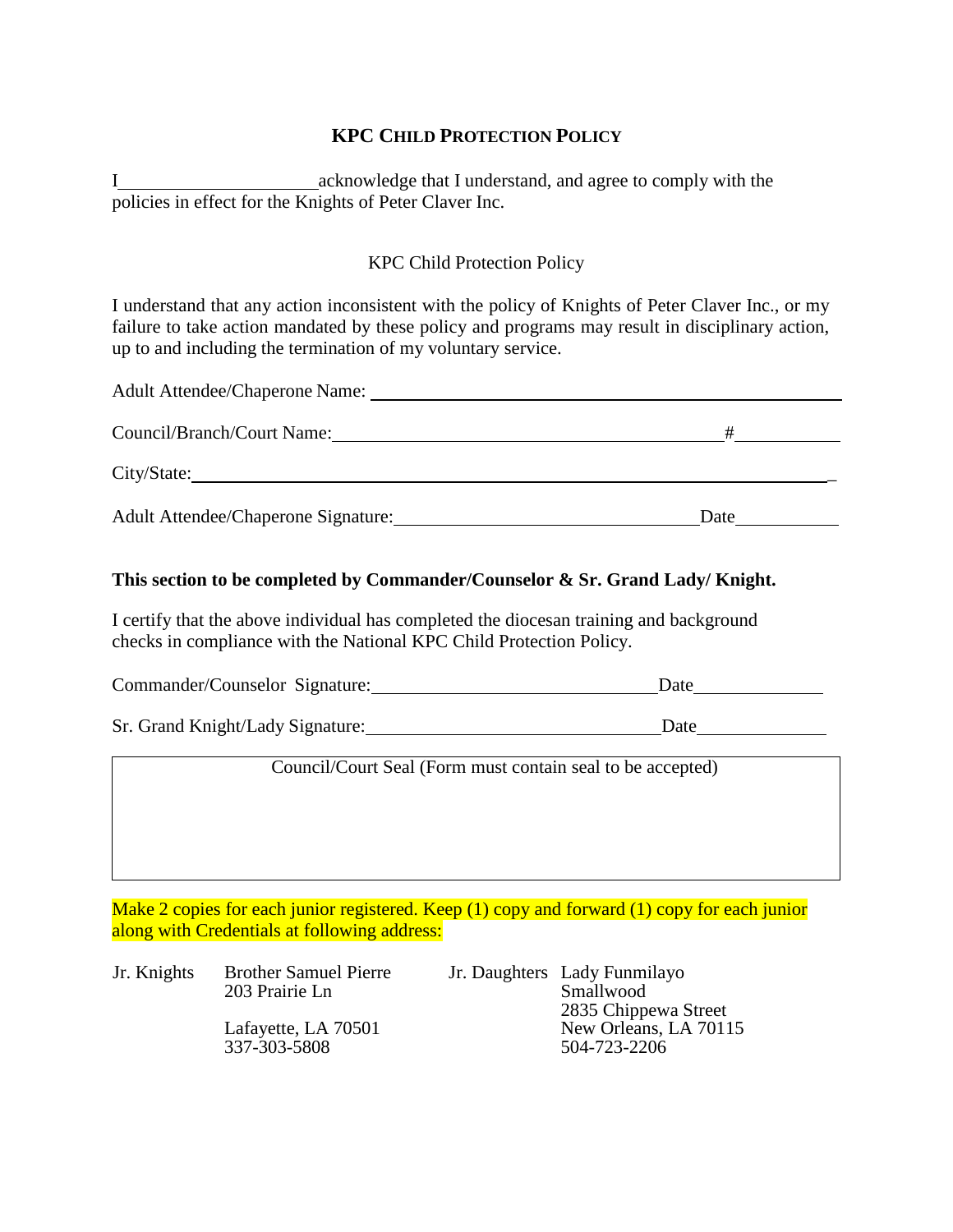### **KPC CHILD PROTECTION POLICY**

I acknowledge that I understand, and agree to comply with the policies in effect for the Knights of Peter Claver Inc.

### KPC Child Protection Policy

I understand that any action inconsistent with the policy of Knights of Peter Claver Inc., or my failure to take action mandated by these policy and programs may result in disciplinary action, up to and including the termination of my voluntary service.

| <b>Adult Attendee/Chaperone Name:</b>      |      |
|--------------------------------------------|------|
| Council/Branch/Court Name:                 | #    |
| City/State:                                |      |
| <b>Adult Attendee/Chaperone Signature:</b> | Date |

### **This section to be completed by Commander/Counselor & Sr. Grand Lady/ Knight.**

I certify that the above individual has completed the diocesan training and background checks in compliance with the National KPC Child Protection Policy.

| Commander/Counselor Signature: | Date |
|--------------------------------|------|
|--------------------------------|------|

Sr. Grand Knight/Lady Signature: Date

Council/Court Seal (Form must contain seal to be accepted)

Make 2 copies for each junior registered. Keep (1) copy and forward (1) copy for each junior along with Credentials at following address:

| Jr. Knights | <b>Brother Samuel Pierre</b><br>203 Prairie Ln<br>Lafayette, LA 70501 | Jr. Daughters Lady Funmilayo<br>Smallwood<br>2835 Chippewa Street<br>New Orleans, LA 70115 |
|-------------|-----------------------------------------------------------------------|--------------------------------------------------------------------------------------------|
|             | 337-303-5808                                                          | 504-723-2206                                                                               |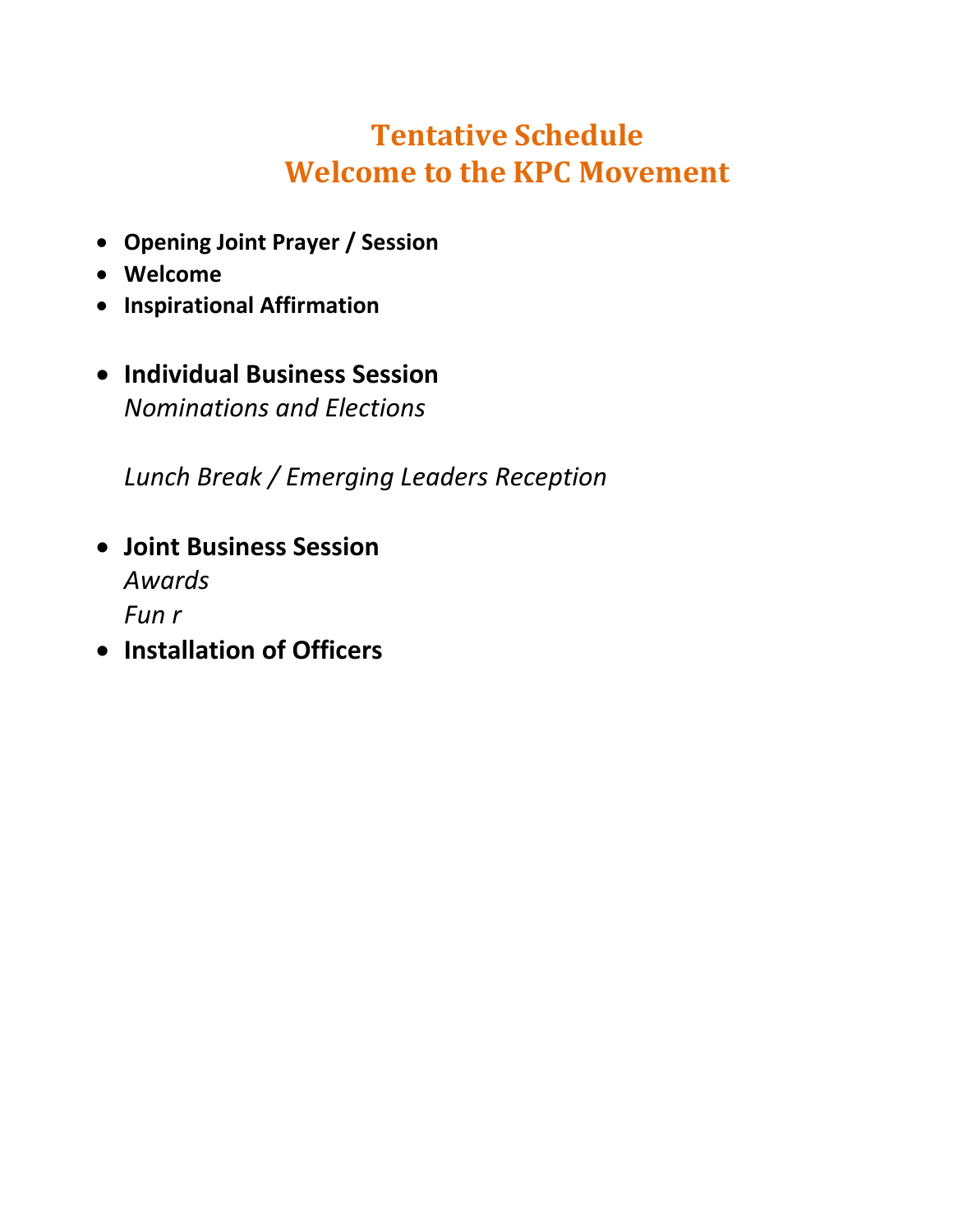## **Tentative Schedule Welcome to the KPC Movement**

- **Opening Joint Prayer / Session**
- **Welcome**
- **Inspirational Affirmation**
- **Individual Business Session** *Nominations and Elections*

*Lunch Break / Emerging Leaders Reception*

- **Joint Business Session** *Awards Fun r*
- **Installation of Officers**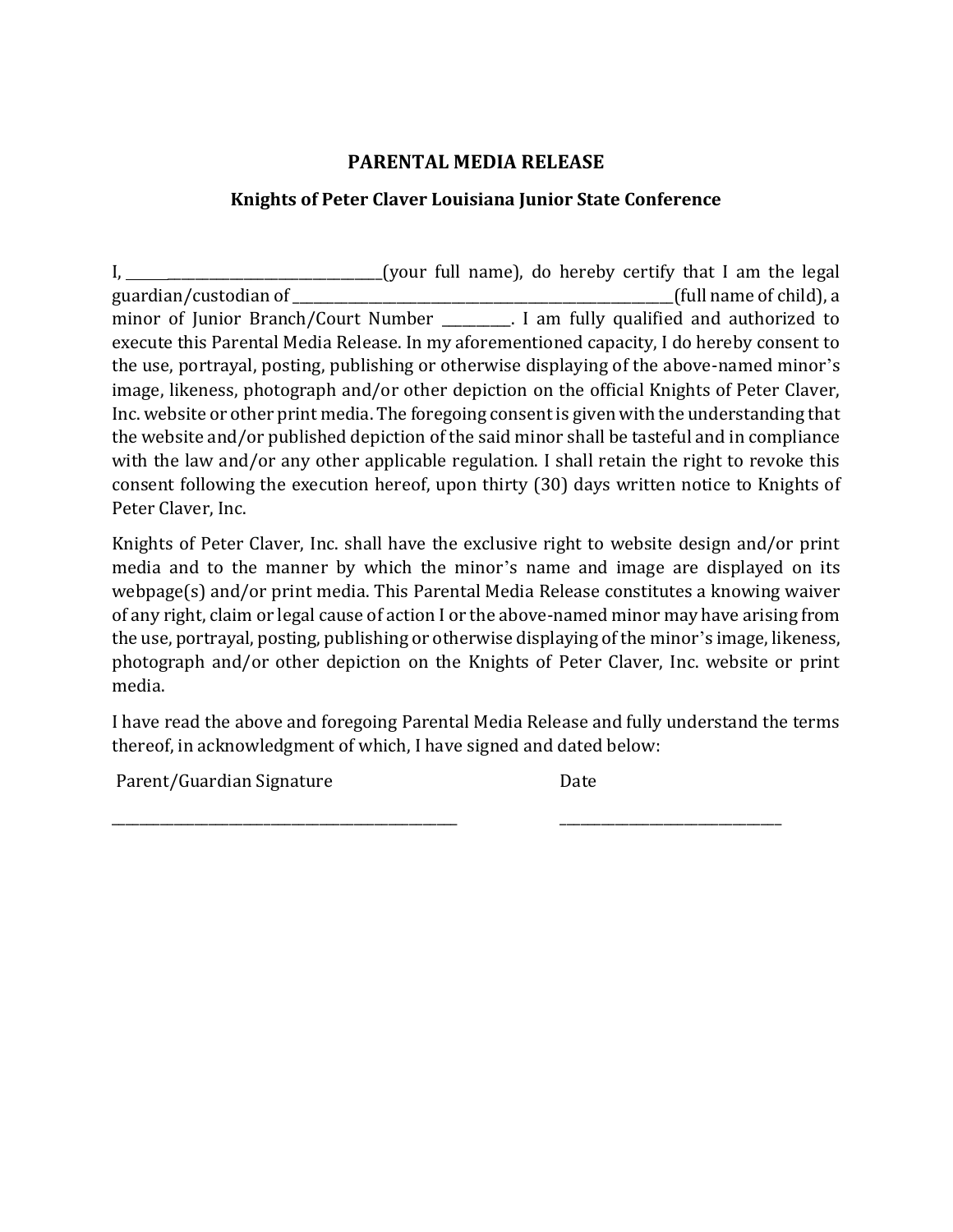### **PARENTAL MEDIA RELEASE**

### **Knights of Peter Claver Louisiana Junior State Conference**

I, 1. 2010 I. [your full name], do hereby certify that I am the legal guardian/custodian of \_\_\_\_\_\_\_\_\_\_\_\_\_\_\_\_\_\_\_\_\_\_\_\_\_\_\_\_\_\_\_\_\_\_\_\_\_\_\_\_\_\_\_\_\_\_\_\_\_\_\_\_\_\_\_(full name of child), a minor of Junior Branch/Court Number \_\_\_\_\_\_\_\_. I am fully qualified and authorized to execute this Parental Media Release. In my aforementioned capacity, I do hereby consent to the use, portrayal, posting, publishing or otherwise displaying of the above-named minor's image, likeness, photograph and/or other depiction on the official Knights of Peter Claver, Inc. website or other print media. The foregoing consent is given with the understanding that the website and/or published depiction of the said minor shall be tasteful and in compliance with the law and/or any other applicable regulation. I shall retain the right to revoke this consent following the execution hereof, upon thirty (30) days written notice to Knights of Peter Claver, Inc.

Knights of Peter Claver, Inc. shall have the exclusive right to website design and/or print media and to the manner by which the minor's name and image are displayed on its webpage(s) and/or print media. This Parental Media Release constitutes a knowing waiver of any right, claim or legal cause of action I or the above-named minor may have arising from the use, portrayal, posting, publishing or otherwise displaying of the minor's image, likeness, photograph and/or other depiction on the Knights of Peter Claver, Inc. website or print media.

I have read the above and foregoing Parental Media Release and fully understand the terms thereof, in acknowledgment of which, I have signed and dated below:

Parent/Guardian Signature Date

\_\_\_\_\_\_\_\_\_\_\_\_\_\_\_\_\_\_\_\_\_\_\_\_\_\_\_\_\_\_\_\_\_\_\_\_\_\_\_\_\_\_\_\_\_\_\_\_\_\_ \_\_\_\_\_\_\_\_\_\_\_\_\_\_\_\_\_\_\_\_\_\_\_\_\_\_\_\_\_\_\_\_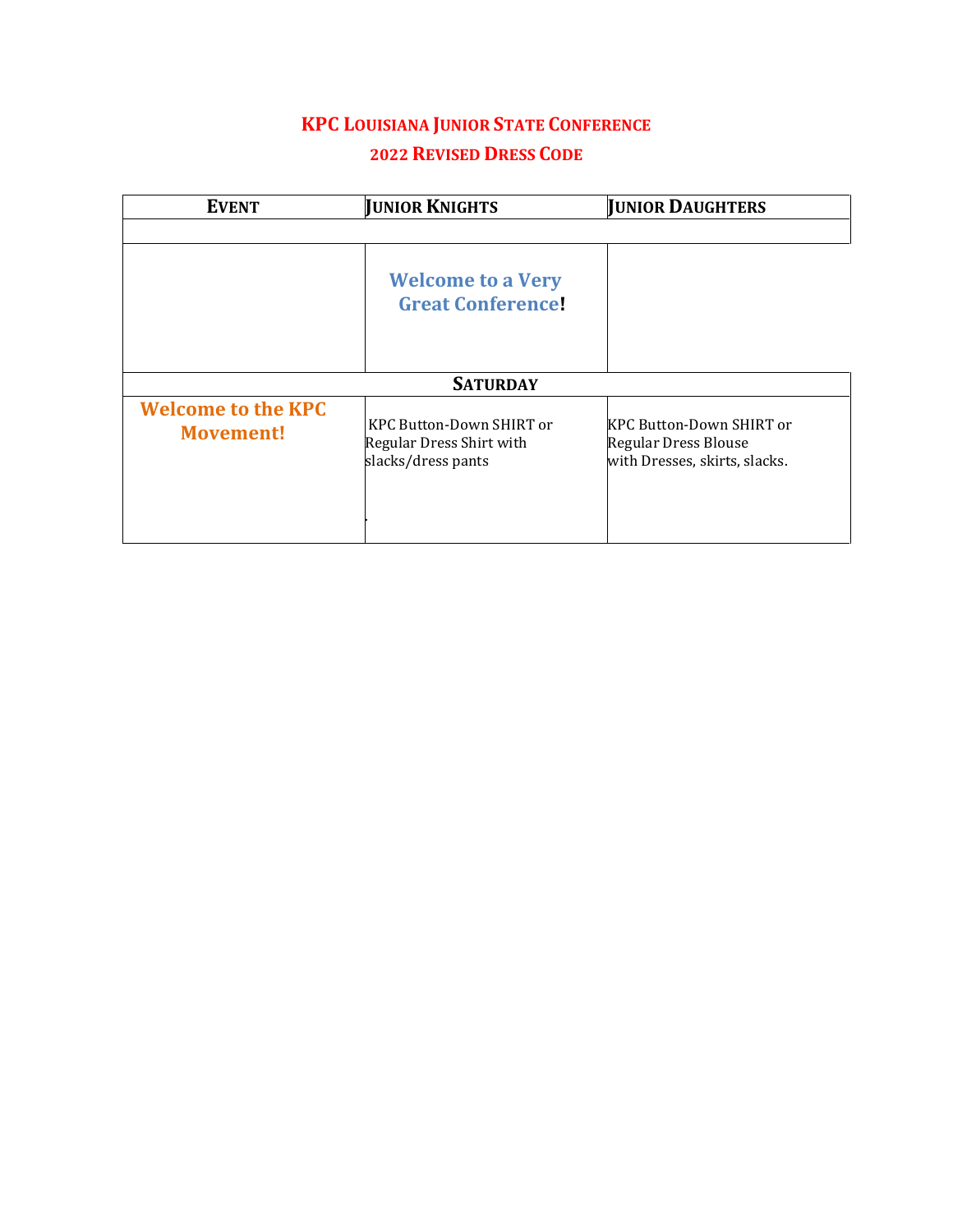### **KPC LOUISIANA JUNIOR STATE CONFERENCE 2022 REVISED DRESS CODE**

| <b>EVENT</b>                                  | <b>JUNIOR KNIGHTS</b>                                                      | <b>JUNIOR DAUGHTERS</b>                                                                  |
|-----------------------------------------------|----------------------------------------------------------------------------|------------------------------------------------------------------------------------------|
|                                               |                                                                            |                                                                                          |
|                                               | <b>Welcome to a Very</b><br><b>Great Conference!</b>                       |                                                                                          |
|                                               | <b>SATURDAY</b>                                                            |                                                                                          |
| <b>Welcome to the KPC</b><br><b>Movement!</b> | KPC Button-Down SHIRT or<br>Regular Dress Shirt with<br>slacks/dress pants | <b>KPC Button-Down SHIRT or</b><br>Regular Dress Blouse<br>with Dresses, skirts, slacks. |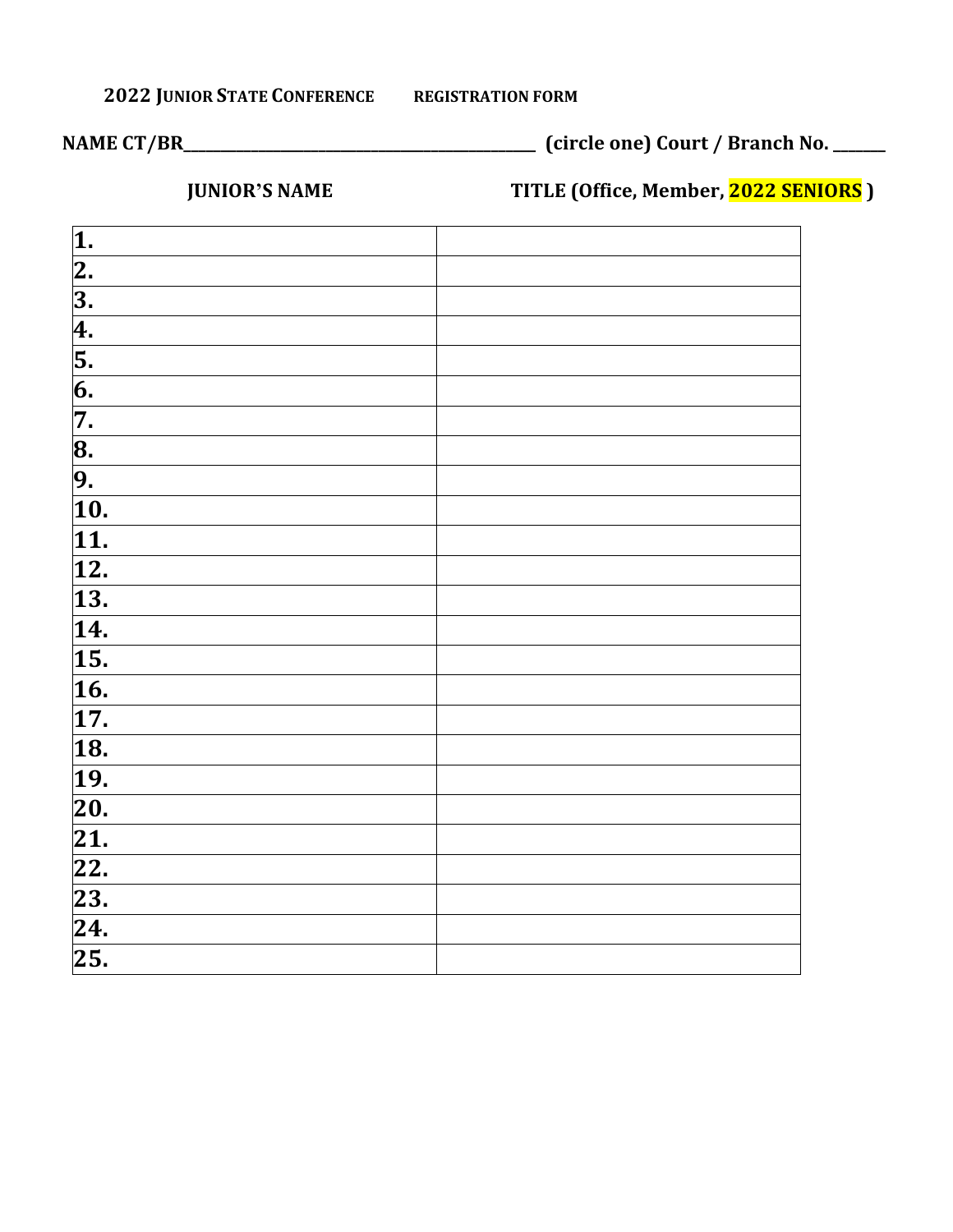### **2022 JUNIOR STATE CONFERENCE REGISTRATION FORM**

**NAME CT/BR\_\_\_\_\_\_\_\_\_\_\_\_\_\_\_\_\_\_\_\_\_\_\_\_\_\_\_\_\_\_\_\_\_\_\_\_\_\_\_\_\_\_\_\_\_\_\_ (circle one) Court / Branch No. \_\_\_\_\_\_\_**

 **JUNIOR'S NAME TITLE (Office, Member, 2022 SENIORS )** 

| $\overline{\mathbf{1}}$ .                 |  |
|-------------------------------------------|--|
|                                           |  |
|                                           |  |
|                                           |  |
|                                           |  |
| $\sqrt{2.3}$ $\sqrt{4.5}$ 6. $\sqrt{7}$ . |  |
|                                           |  |
| $\frac{8}{9}$                             |  |
|                                           |  |
| $\overline{10}$ .                         |  |
| $\overline{11}$ .                         |  |
| $\overline{12}$ .                         |  |
| $\overline{13}$ .                         |  |
| $\overline{14}$                           |  |
| $\overline{15}$ .                         |  |
| $\overline{16}$                           |  |
| 17.                                       |  |
| $\overline{18}$ .                         |  |
| $\overline{19}$ .                         |  |
| $\overline{20}$ .                         |  |
| $\overline{21}$ .                         |  |
| $\overline{22}$ .                         |  |
| $\overline{23}$ .                         |  |
| $\overline{24}$ .                         |  |
| $\overline{25}$ .                         |  |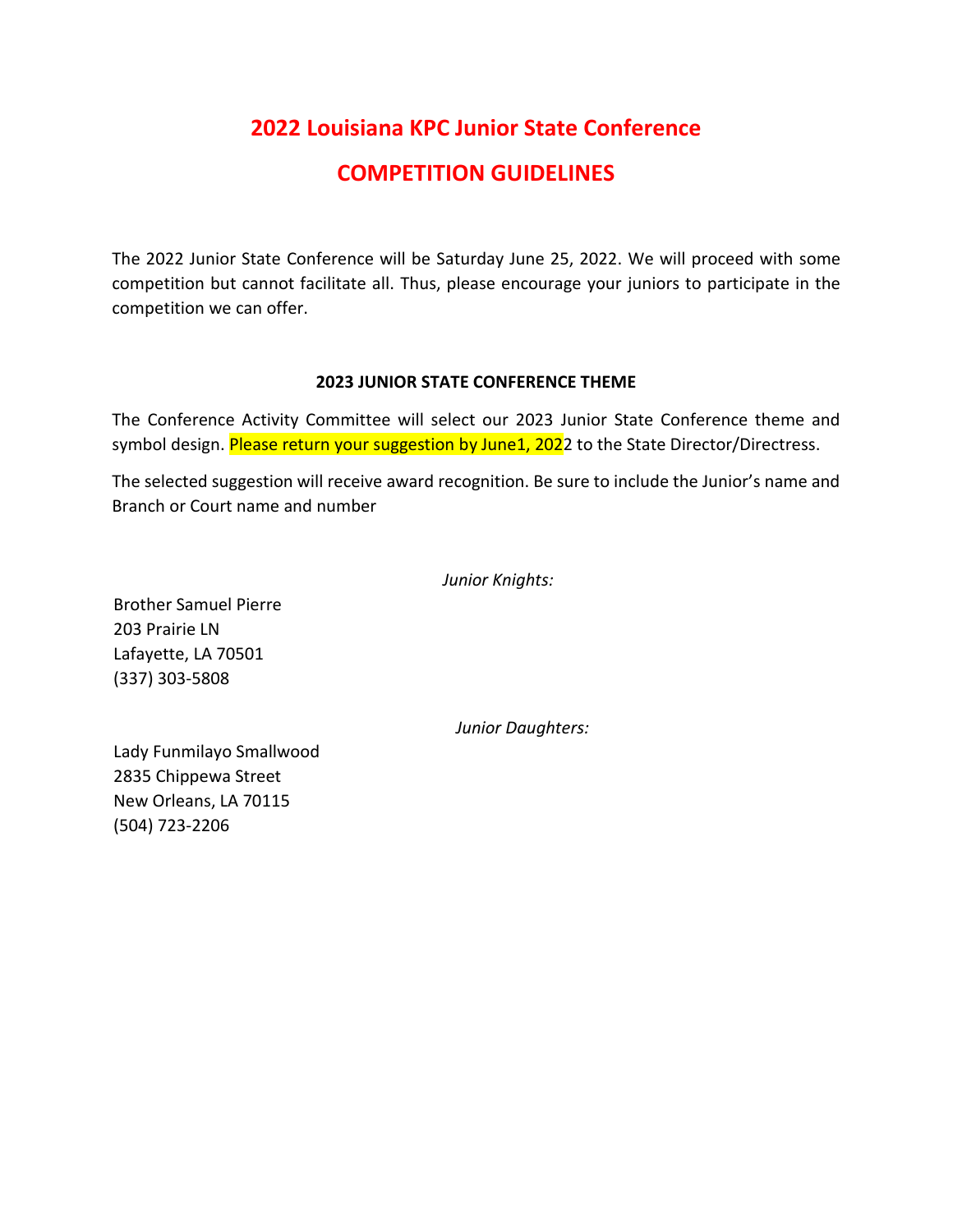## **2022 Louisiana KPC Junior State Conference COMPETITION GUIDELINES**

The 2022 Junior State Conference will be Saturday June 25, 2022. We will proceed with some competition but cannot facilitate all. Thus, please encourage your juniors to participate in the competition we can offer.

### **2023 JUNIOR STATE CONFERENCE THEME**

The Conference Activity Committee will select our 2023 Junior State Conference theme and symbol design. Please return your suggestion by June1, 2022 to the State Director/Directress.

The selected suggestion will receive award recognition. Be sure to include the Junior's name and Branch or Court name and number

|  | Junior Knights: |
|--|-----------------|
|--|-----------------|

Brother Samuel Pierre 203 Prairie LN Lafayette, LA 70501 (337) 303-5808

*Junior Daughters:* 

Lady Funmilayo Smallwood 2835 Chippewa Street New Orleans, LA 70115 (504) 723-2206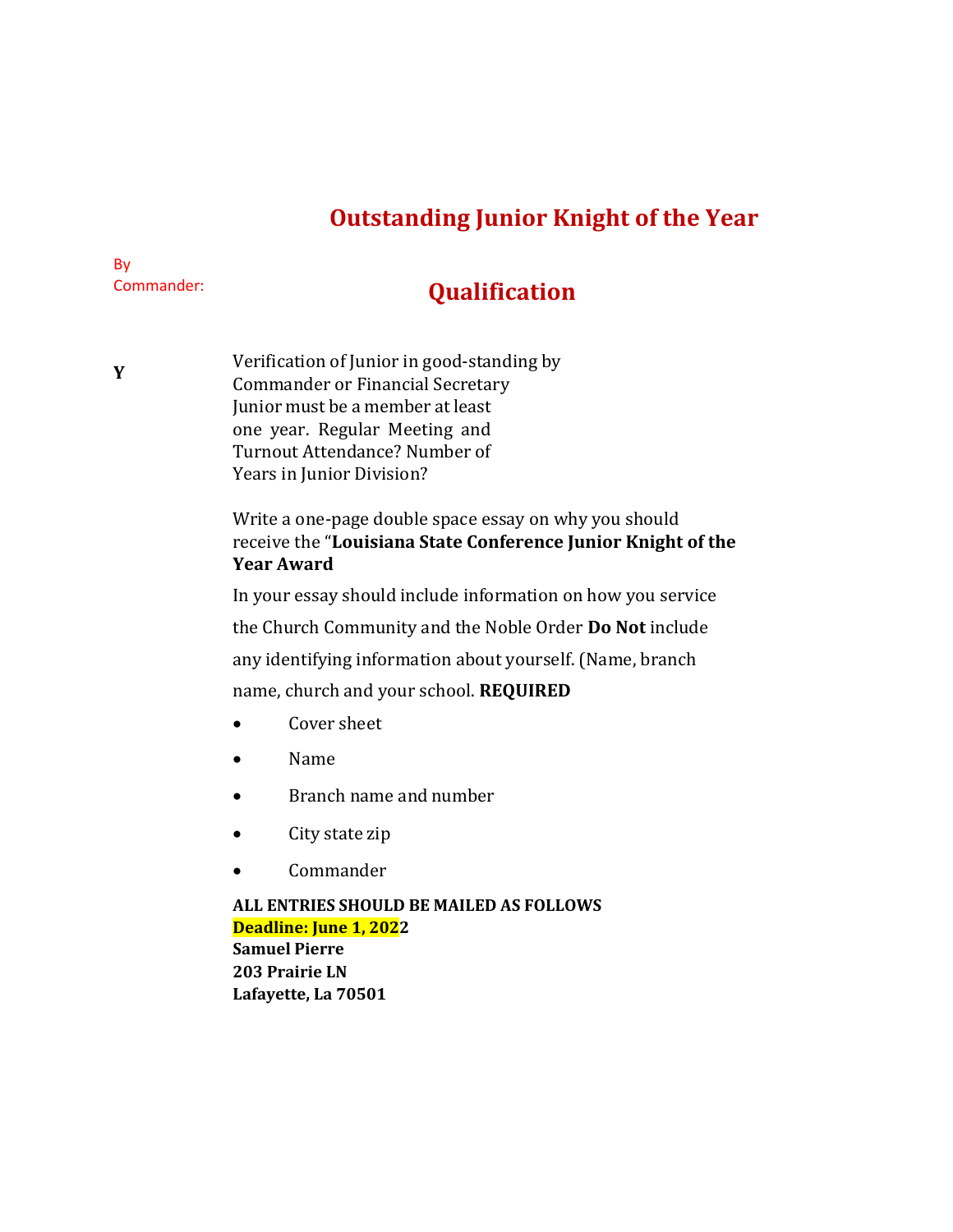## **Outstanding Junior Knight of the Year**

### By Commander:

## **Qualification**

**Y** Verification of Junior in good-standing by Commander or Financial Secretary Junior must be a member at least one year. Regular Meeting and Turnout Attendance? Number of Years in Junior Division?

> Write a one-page double space essay on why you should receive the "**Louisiana State Conference Junior Knight of the Year Award**

In your essay should include information on how you service

the Church Community and the Noble Order **Do Not** include

any identifying information about yourself. (Name, branch

name, church and your school. **REQUIRED**

- Cover sheet
- Name
- Branch name and number
- City state zip
- Commander

### **ALL ENTRIES SHOULD BE MAILED AS FOLLOWS Deadline: June 1, 2022 Samuel Pierre**

**203 Prairie LN Lafayette, La 70501**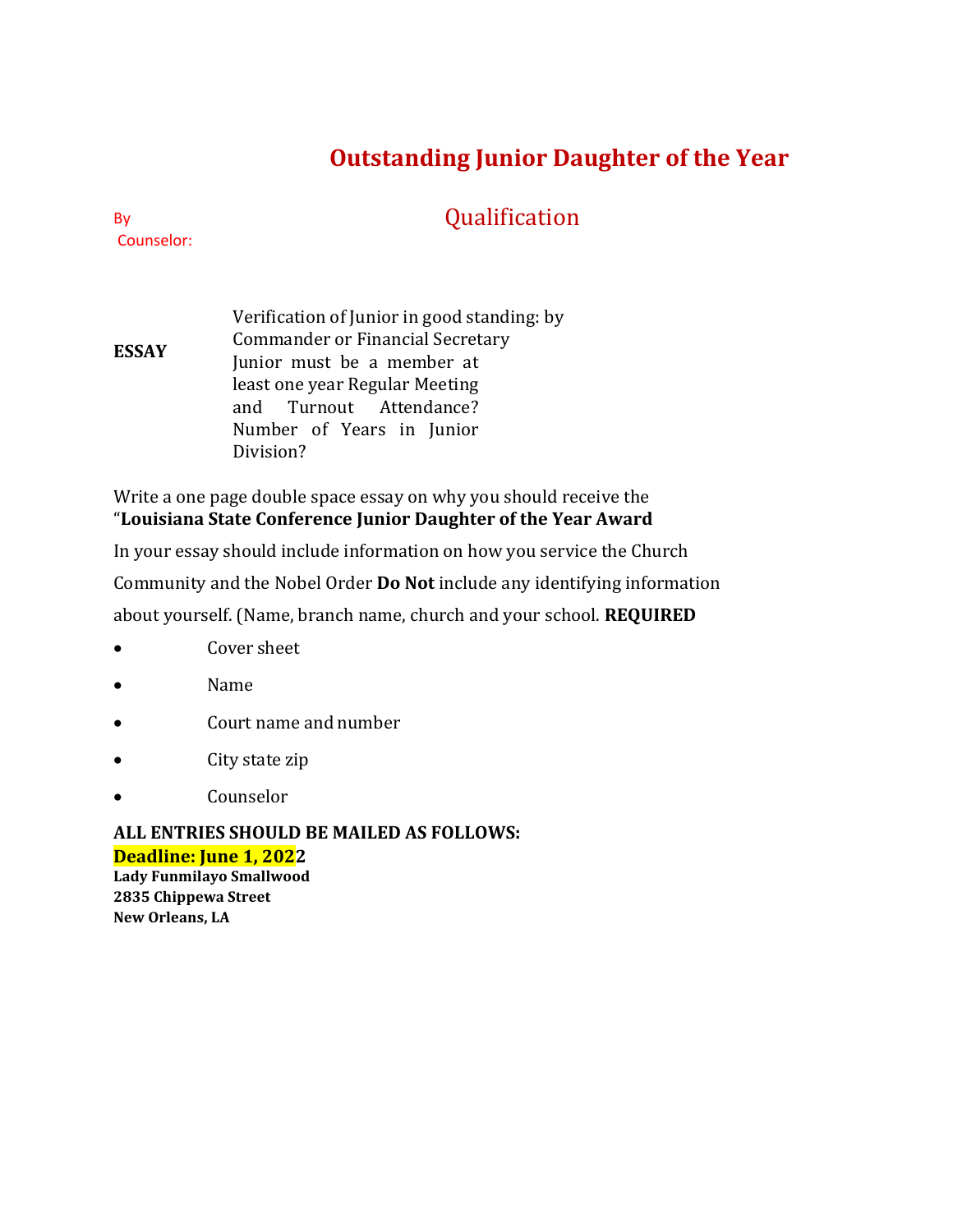## **Outstanding Junior Daughter of the Year**

## Qualification

By Counselor:

**ESSAY** Verification of Junior in good standing: by Commander or Financial Secretary Junior must be a member at least one year Regular Meeting and Turnout Attendance? Number of Years in Junior Division?

Write a one page double space essay on why you should receive the "**Louisiana State Conference Junior Daughter of the Year Award**

In your essay should include information on how you service the Church

Community and the Nobel Order **Do Not** include any identifying information

about yourself. (Name, branch name, church and your school. **REQUIRED**

- Cover sheet
- Name
- Court name and number
- City state zip
- Counselor

### **ALL ENTRIES SHOULD BE MAILED AS FOLLOWS: Deadline: June 1, 2022**

**Lady Funmilayo Smallwood 2835 Chippewa Street New Orleans, LA**